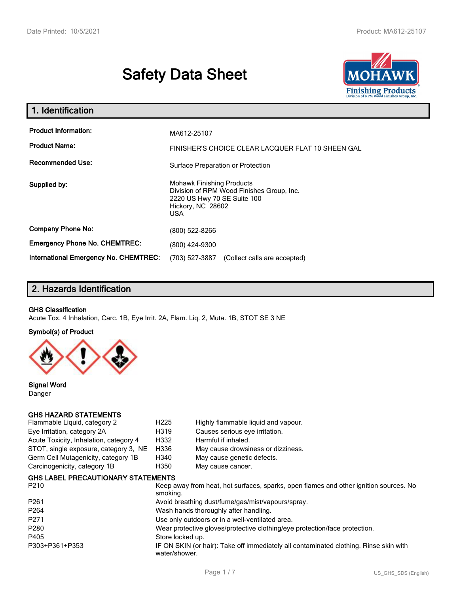# **Safety Data Sheet**



| 1. Identification                                   |                                                                                                                                           |  |  |  |
|-----------------------------------------------------|-------------------------------------------------------------------------------------------------------------------------------------------|--|--|--|
| <b>Product Information:</b><br><b>Product Name:</b> | MA612-25107<br>FINISHER'S CHOICE CLEAR LACQUER FLAT 10 SHEEN GAL                                                                          |  |  |  |
| <b>Recommended Use:</b>                             | Surface Preparation or Protection                                                                                                         |  |  |  |
| Supplied by:                                        | <b>Mohawk Finishing Products</b><br>Division of RPM Wood Finishes Group, Inc.<br>2220 US Hwy 70 SE Suite 100<br>Hickory, NC 28602<br>USA. |  |  |  |
| <b>Company Phone No:</b>                            | (800) 522-8266                                                                                                                            |  |  |  |
| <b>Emergency Phone No. CHEMTREC:</b>                | (800) 424-9300                                                                                                                            |  |  |  |
| <b>International Emergency No. CHEMTREC:</b>        | (703) 527-3887<br>(Collect calls are accepted)                                                                                            |  |  |  |

## **2. Hazards Identification**

#### **GHS Classification**

Acute Tox. 4 Inhalation, Carc. 1B, Eye Irrit. 2A, Flam. Liq. 2, Muta. 1B, STOT SE 3 NE

#### **Symbol(s) of Product**



**Signal Word** Danger

#### **GHS HAZARD STATEMENTS**

| Flammable Liquid, category 2           | H <sub>225</sub> | Highly flammable liquid and vapour. |
|----------------------------------------|------------------|-------------------------------------|
| Eye Irritation, category 2A            | H319             | Causes serious eye irritation.      |
| Acute Toxicity, Inhalation, category 4 | H332             | Harmful if inhaled.                 |
| STOT, single exposure, category 3, NE  | H336             | May cause drowsiness or dizziness.  |
| Germ Cell Mutagenicity, category 1B    | H340             | May cause genetic defects.          |
| Carcinogenicity, category 1B           | H350             | May cause cancer.                   |
|                                        |                  |                                     |

#### **GHS LABEL PRECAUTIONARY STATEMENTS**

| P <sub>210</sub> | Keep away from heat, hot surfaces, sparks, open flames and other ignition sources. No<br>smoking.      |
|------------------|--------------------------------------------------------------------------------------------------------|
| P <sub>261</sub> | Avoid breathing dust/fume/gas/mist/vapours/spray.                                                      |
| P <sub>264</sub> | Wash hands thoroughly after handling.                                                                  |
| P <sub>271</sub> | Use only outdoors or in a well-ventilated area.                                                        |
| P <sub>280</sub> | Wear protective gloves/protective clothing/eye protection/face protection.                             |
| P405             | Store locked up.                                                                                       |
| P303+P361+P353   | IF ON SKIN (or hair): Take off immediately all contaminated clothing. Rinse skin with<br>water/shower. |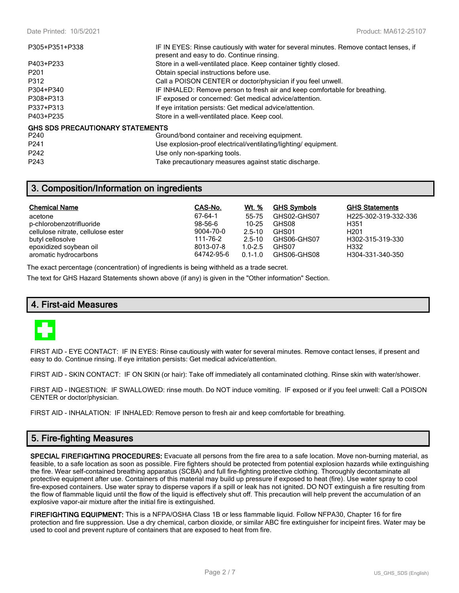| P305+P351+P338                   | IF IN EYES: Rinse cautiously with water for several minutes. Remove contact lenses, if<br>present and easy to do. Continue rinsing. |
|----------------------------------|-------------------------------------------------------------------------------------------------------------------------------------|
| P403+P233                        | Store in a well-ventilated place. Keep container tightly closed.                                                                    |
| P <sub>201</sub>                 | Obtain special instructions before use.                                                                                             |
| P312                             | Call a POISON CENTER or doctor/physician if you feel unwell.                                                                        |
| P304+P340                        | IF INHALED: Remove person to fresh air and keep comfortable for breathing.                                                          |
| P308+P313                        | IF exposed or concerned: Get medical advice/attention.                                                                              |
| P337+P313                        | If eye irritation persists: Get medical advice/attention.                                                                           |
| P403+P235                        | Store in a well-ventilated place. Keep cool.                                                                                        |
| GHS SDS PRECAUTIONARY STATEMENTS |                                                                                                                                     |
| P <sub>240</sub>                 | Ground/bond container and receiving equipment.                                                                                      |
| P <sub>241</sub>                 | Use explosion-proof electrical/ventilating/lighting/equipment.                                                                      |
| P <sub>242</sub>                 | Use only non-sparking tools.                                                                                                        |

P243 Take precautionary measures against static discharge.

## **3. Composition/Information on ingredients**

| <b>Chemical Name</b>               | CAS-No.    | Wt. %       | <b>GHS Symbols</b> | <b>GHS Statements</b> |
|------------------------------------|------------|-------------|--------------------|-----------------------|
| acetone                            | 67-64-1    | 55-75       | GHS02-GHS07        | H225-302-319-332-336  |
| p-chlorobenzotrifluoride           | $98-56-6$  | 10-25       | GHS08              | H351                  |
| cellulose nitrate, cellulose ester | 9004-70-0  | $2.5 - 10$  | GHS01              | H <sub>201</sub>      |
| butyl cellosolve                   | 111-76-2   | $2.5 - 10$  | GHS06-GHS07        | H302-315-319-330      |
| epoxidized soybean oil             | 8013-07-8  | $1.0 - 2.5$ | GHS07              | H332                  |
| aromatic hydrocarbons              | 64742-95-6 | $0.1 - 1.0$ | GHS06-GHS08        | H304-331-340-350      |

The exact percentage (concentration) of ingredients is being withheld as a trade secret.

The text for GHS Hazard Statements shown above (if any) is given in the "Other information" Section.

#### **4. First-aid Measures**



FIRST AID - EYE CONTACT: IF IN EYES: Rinse cautiously with water for several minutes. Remove contact lenses, if present and easy to do. Continue rinsing. If eye irritation persists: Get medical advice/attention.

FIRST AID - SKIN CONTACT: IF ON SKIN (or hair): Take off immediately all contaminated clothing. Rinse skin with water/shower.

FIRST AID - INGESTION: IF SWALLOWED: rinse mouth. Do NOT induce vomiting. IF exposed or if you feel unwell: Call a POISON CENTER or doctor/physician.

FIRST AID - INHALATION: IF INHALED: Remove person to fresh air and keep comfortable for breathing.

## **5. Fire-fighting Measures**

**SPECIAL FIREFIGHTING PROCEDURES:** Evacuate all persons from the fire area to a safe location. Move non-burning material, as feasible, to a safe location as soon as possible. Fire fighters should be protected from potential explosion hazards while extinguishing the fire. Wear self-contained breathing apparatus (SCBA) and full fire-fighting protective clothing. Thoroughly decontaminate all protective equipment after use. Containers of this material may build up pressure if exposed to heat (fire). Use water spray to cool fire-exposed containers. Use water spray to disperse vapors if a spill or leak has not ignited. DO NOT extinguish a fire resulting from the flow of flammable liquid until the flow of the liquid is effectively shut off. This precaution will help prevent the accumulation of an explosive vapor-air mixture after the initial fire is extinguished.

**FIREFIGHTING EQUIPMENT:** This is a NFPA/OSHA Class 1B or less flammable liquid. Follow NFPA30, Chapter 16 for fire protection and fire suppression. Use a dry chemical, carbon dioxide, or similar ABC fire extinguisher for incipeint fires. Water may be used to cool and prevent rupture of containers that are exposed to heat from fire.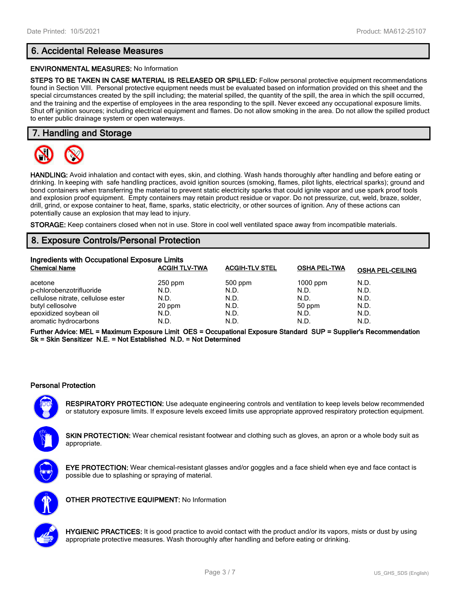## **6. Accidental Release Measures**

#### **ENVIRONMENTAL MEASURES:** No Information

**STEPS TO BE TAKEN IN CASE MATERIAL IS RELEASED OR SPILLED:** Follow personal protective equipment recommendations found in Section VIII. Personal protective equipment needs must be evaluated based on information provided on this sheet and the special circumstances created by the spill including; the material spilled, the quantity of the spill, the area in which the spill occurred, and the training and the expertise of employees in the area responding to the spill. Never exceed any occupational exposure limits. Shut off ignition sources; including electrical equipment and flames. Do not allow smoking in the area. Do not allow the spilled product to enter public drainage system or open waterways.

## **7. Handling and Storage**



**HANDLING:** Avoid inhalation and contact with eyes, skin, and clothing. Wash hands thoroughly after handling and before eating or drinking. In keeping with safe handling practices, avoid ignition sources (smoking, flames, pilot lights, electrical sparks); ground and bond containers when transferring the material to prevent static electricity sparks that could ignite vapor and use spark proof tools and explosion proof equipment. Empty containers may retain product residue or vapor. Do not pressurize, cut, weld, braze, solder, drill, grind, or expose container to heat, flame, sparks, static electricity, or other sources of ignition. Any of these actions can potentially cause an explosion that may lead to injury.

**STORAGE:** Keep containers closed when not in use. Store in cool well ventilated space away from incompatible materials.

## **8. Exposure Controls/Personal Protection**

| Ingredients with Occupational Exposure Limits |                      |                       |                     |                         |  |  |
|-----------------------------------------------|----------------------|-----------------------|---------------------|-------------------------|--|--|
| <b>Chemical Name</b>                          | <b>ACGIH TLV-TWA</b> | <b>ACGIH-TLV STEL</b> | <b>OSHA PEL-TWA</b> | <b>OSHA PEL-CEILING</b> |  |  |
| acetone                                       | $250$ ppm            | 500 ppm               | $1000$ ppm          | N.D.                    |  |  |
| p-chlorobenzotrifluoride                      | N.D.                 | N.D.                  | N.D.                | N.D.                    |  |  |
| cellulose nitrate, cellulose ester            | N.D.                 | N.D.                  | N.D.                | N.D.                    |  |  |
| butyl cellosolve                              | 20 ppm               | N.D.                  | 50 ppm              | N.D.                    |  |  |
| epoxidized soybean oil                        | N.D.                 | N.D.                  | N.D.                | N.D.                    |  |  |
| aromatic hydrocarbons                         | N.D.                 | N.D.                  | N.D.                | N.D.                    |  |  |

**Further Advice: MEL = Maximum Exposure Limit OES = Occupational Exposure Standard SUP = Supplier's Recommendation Sk = Skin Sensitizer N.E. = Not Established N.D. = Not Determined**

#### **Personal Protection**

**RESPIRATORY PROTECTION:** Use adequate engineering controls and ventilation to keep levels below recommended or statutory exposure limits. If exposure levels exceed limits use appropriate approved respiratory protection equipment.

**SKIN PROTECTION:** Wear chemical resistant footwear and clothing such as gloves, an apron or a whole body suit as appropriate.



**EYE PROTECTION:** Wear chemical-resistant glasses and/or goggles and a face shield when eye and face contact is possible due to splashing or spraying of material.



**OTHER PROTECTIVE EQUIPMENT:** No Information



**HYGIENIC PRACTICES:** It is good practice to avoid contact with the product and/or its vapors, mists or dust by using appropriate protective measures. Wash thoroughly after handling and before eating or drinking.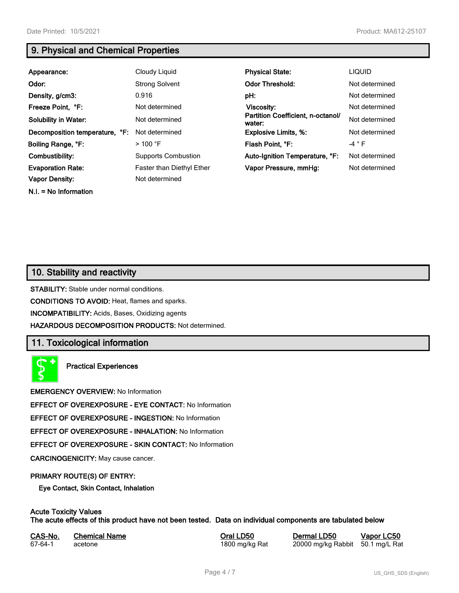**N.I. = No Information**

## **9. Physical and Chemical Properties**

| Appearance:                    | Cloudy Liquid              | <b>Physical State:</b>                      | <b>LIQUID</b>  |
|--------------------------------|----------------------------|---------------------------------------------|----------------|
| Odor:                          | <b>Strong Solvent</b>      | <b>Odor Threshold:</b>                      | Not determined |
| Density, g/cm3:                | 0.916                      | pH:                                         | Not determined |
| Freeze Point, °F:              | Not determined             | <b>Viscosity:</b>                           | Not determined |
| <b>Solubility in Water:</b>    | Not determined             | Partition Coefficient, n-octanol/<br>water: | Not determined |
| Decomposition temperature, °F: | Not determined             | <b>Explosive Limits, %:</b>                 | Not determined |
| Boiling Range, °F:             | $>100$ °F                  | Flash Point, °F:                            | -4 $\degree$ F |
| Combustibility:                | <b>Supports Combustion</b> | Auto-Ignition Temperature, °F:              | Not determined |
| <b>Evaporation Rate:</b>       | Faster than Diethyl Ether  | Vapor Pressure, mmHg:                       | Not determined |
| <b>Vapor Density:</b>          | Not determined             |                                             |                |

## **10. Stability and reactivity**

**STABILITY:** Stable under normal conditions.

**CONDITIONS TO AVOID:** Heat, flames and sparks.

**INCOMPATIBILITY:** Acids, Bases, Oxidizing agents

**HAZARDOUS DECOMPOSITION PRODUCTS:** Not determined.

## **11. Toxicological information**

**Practical Experiences**

**EMERGENCY OVERVIEW:** No Information

**EFFECT OF OVEREXPOSURE - EYE CONTACT:** No Information

**EFFECT OF OVEREXPOSURE - INGESTION:** No Information

**EFFECT OF OVEREXPOSURE - INHALATION:** No Information

**EFFECT OF OVEREXPOSURE - SKIN CONTACT:** No Information

**CARCINOGENICITY:** May cause cancer.

#### **PRIMARY ROUTE(S) OF ENTRY:**

**Eye Contact, Skin Contact, Inhalation**

## **Acute Toxicity Values**

**The acute effects of this product have not been tested. Data on individual components are tabulated below**

| CAS-No. | <b>Chemical Name</b> |  |
|---------|----------------------|--|
| 67-64-1 | acetone              |  |

**CASA-No. 2018 CONO. In the CASE CASE CONOCO CONOCO CONOCO CONOCO CONOCO CONOCO CONOCO CONOCO CONOCO CONOCO CONOCO CONOCO CONOCO CONOCO CONOCO CONOCO CONOCO CONOCO CONOCO CONOCO CONOCO CONOCO CONOCO CONOCO CONOCO CONOCO** 1800 mg/kg Rat 20000 mg/kg Rabbit 50.1 mg/L Rat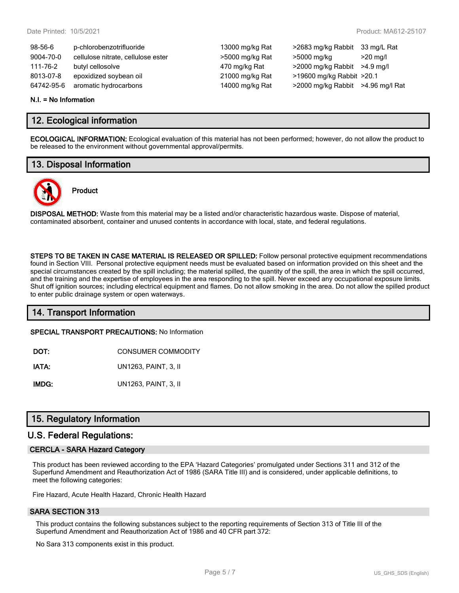| $98-56-6$  | p-chlorobenzotrifluoride           | 13000 mg/kg Rat | >2683 mg/kg Rabbit                | 33 mg/L Rat        |
|------------|------------------------------------|-----------------|-----------------------------------|--------------------|
| 9004-70-0  | cellulose nitrate, cellulose ester | >5000 mg/kg Rat | >5000 mg/kg                       | $>20 \text{ ma/l}$ |
| 111-76-2   | butyl cellosolve                   | 470 mg/kg Rat   | $>2000$ mg/kg Rabbit $>4.9$ mg/l  |                    |
| 8013-07-8  | epoxidized soybean oil             | 21000 mg/kg Rat | >19600 mg/kg Rabbit >20.1         |                    |
| 64742-95-6 | aromatic hydrocarbons              | 14000 mg/kg Rat | >2000 mg/kg Rabbit >4.96 mg/l Rat |                    |

#### **N.I. = No Information**

### **12. Ecological information**

**ECOLOGICAL INFORMATION:** Ecological evaluation of this material has not been performed; however, do not allow the product to be released to the environment without governmental approval/permits.

## **13. Disposal Information**



## **Product**

**DISPOSAL METHOD:** Waste from this material may be a listed and/or characteristic hazardous waste. Dispose of material, contaminated absorbent, container and unused contents in accordance with local, state, and federal regulations.

**STEPS TO BE TAKEN IN CASE MATERIAL IS RELEASED OR SPILLED:** Follow personal protective equipment recommendations found in Section VIII. Personal protective equipment needs must be evaluated based on information provided on this sheet and the special circumstances created by the spill including; the material spilled, the quantity of the spill, the area in which the spill occurred, and the training and the expertise of employees in the area responding to the spill. Never exceed any occupational exposure limits. Shut off ignition sources; including electrical equipment and flames. Do not allow smoking in the area. Do not allow the spilled product to enter public drainage system or open waterways.

## **14. Transport Information**

**SPECIAL TRANSPORT PRECAUTIONS:** No Information

**DOT:** CONSUMER COMMODITY

**IATA:** UN1263, PAINT, 3, II

**IMDG:** UN1263, PAINT, 3, II

## **15. Regulatory Information**

#### **U.S. Federal Regulations:**

#### **CERCLA - SARA Hazard Category**

This product has been reviewed according to the EPA 'Hazard Categories' promulgated under Sections 311 and 312 of the Superfund Amendment and Reauthorization Act of 1986 (SARA Title III) and is considered, under applicable definitions, to meet the following categories:

Fire Hazard, Acute Health Hazard, Chronic Health Hazard

#### **SARA SECTION 313**

This product contains the following substances subject to the reporting requirements of Section 313 of Title III of the Superfund Amendment and Reauthorization Act of 1986 and 40 CFR part 372:

No Sara 313 components exist in this product.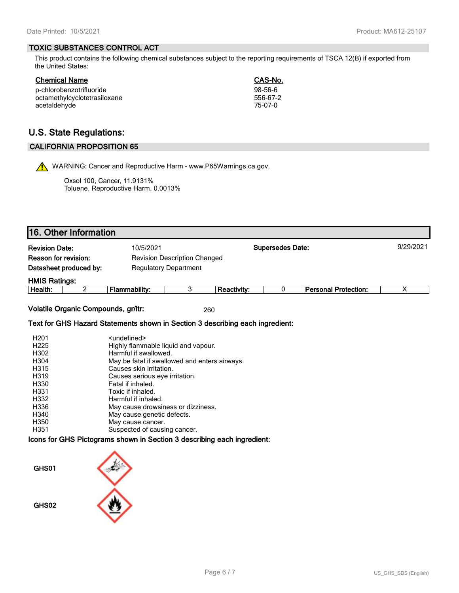#### **TOXIC SUBSTANCES CONTROL ACT**

This product contains the following chemical substances subject to the reporting requirements of TSCA 12(B) if exported from the United States:

**Chemical Name CAS-No.**

| <b>VIIVIIIVUI I TUIIIV</b>   |           |
|------------------------------|-----------|
| p-chlorobenzotrifluoride     | $98-56-6$ |
| octamethylcyclotetrasiloxane | 556-67-2  |
| acetaldehyde                 | 75-07-0   |

## **U.S. State Regulations:**

#### **CALIFORNIA PROPOSITION 65**

WARNING: Cancer and Reproductive Harm - www.P65Warnings.ca.gov.

Oxsol 100, Cancer, 11.9131% Toluene, Reproductive Harm, 0.0013%

|                             | 16. Other Information               |                                                                               |   |                    |                         |                             |           |
|-----------------------------|-------------------------------------|-------------------------------------------------------------------------------|---|--------------------|-------------------------|-----------------------------|-----------|
| <b>Revision Date:</b>       |                                     | 10/5/2021                                                                     |   |                    | <b>Supersedes Date:</b> |                             | 9/29/2021 |
| <b>Reason for revision:</b> |                                     | <b>Revision Description Changed</b>                                           |   |                    |                         |                             |           |
|                             | Datasheet produced by:              | <b>Regulatory Department</b>                                                  |   |                    |                         |                             |           |
| <b>HMIS Ratings:</b>        |                                     |                                                                               |   |                    |                         |                             |           |
| Health:                     | 2                                   | <b>Flammability:</b>                                                          | 3 | <b>Reactivity:</b> |                         | <b>Personal Protection:</b> | х         |
|                             | Volatile Organic Compounds, gr/ltr: | Text for GHS Hazard Statements shown in Section 3 describing each ingredient: |   | 260                |                         |                             |           |

| H <sub>201</sub> | <undefined></undefined>                       |
|------------------|-----------------------------------------------|
| H <sub>225</sub> | Highly flammable liquid and vapour.           |
| H302             | Harmful if swallowed.                         |
| H304             | May be fatal if swallowed and enters airways. |
| H315             | Causes skin irritation.                       |
| H319             | Causes serious eye irritation.                |
| H330             | Fatal if inhaled.                             |
| H331             | Toxic if inhaled.                             |
| H332             | Harmful if inhaled.                           |
| H336             | May cause drowsiness or dizziness.            |
| H340             | May cause genetic defects.                    |
| H350             | May cause cancer.                             |
| H351             | Suspected of causing cancer.                  |

#### **Icons for GHS Pictograms shown in Section 3 describing each ingredient:**